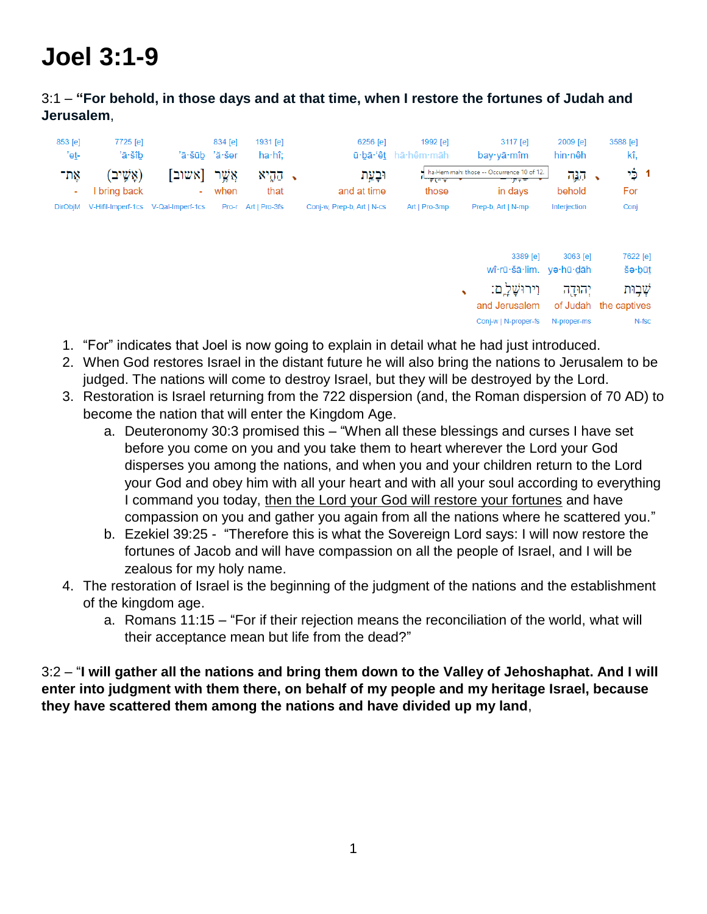## **Joel 3:1-9**

## 3:1 – **"For behold, in those days and at that time, when I restore the fortunes of Judah and Jerusalem**,

| 853 [e]<br>'et- | 7725 [e]<br>'ā∙šîb        | 'ā·šūb 'ă·šer                       | 834 [e]        | 1931 [e]<br>ha·hî;  | 6256 [e]                   | 1992 [e]<br>ū·bā·'êt hā·hêm·māh | $3117$ [e]<br>$bay·y\bar{a}·m\hat{m}$                        | 2009 [e]<br>hin∙nêh     | 3588 [e]<br>kî,                            |
|-----------------|---------------------------|-------------------------------------|----------------|---------------------|----------------------------|---------------------------------|--------------------------------------------------------------|-------------------------|--------------------------------------------|
| אָת־<br>٠       | (אַשֵׁיב)<br>I bring back | אשוב<br>۰.                          | אָשֶׁר<br>when | ּהַהֶיא<br>that     | וּבָעֵת<br>and at time     | $\frac{1}{2}$<br>those          | ha-Hem-mah: those -- Occurrence 10 of 12.<br>アテテ<br>in days  | <u> קג</u> ָה<br>behold | בֶּי<br>$\mathbf{1}$<br>$\bullet$<br>For   |
| <b>DirObjM</b>  |                           | V-Hifil-Imperf-1cs V-Qal-Imperf-1cs |                | Pro-r Art   Pro-3fs | Conj-w, Prep-b, Art   N-cs | Art   Pro-3mp                   | Prep-b, Art   N-mp                                           | Interjection            | Conj                                       |
|                 |                           |                                     |                |                     |                            |                                 | 3389 [e]<br>wî·rū·šā·lim. ye·hū·dāh                          | 3063 [e]                | 7622 [e]<br>še·būt                         |
|                 |                           |                                     |                |                     |                            |                                 | וירוּשָׁלָ ֵם:<br>↖<br>and Jerusalem<br>Conj-w   N-proper-fs | יהוּדֶה<br>N-proper-ms  | שָׁבִוּת<br>of Judah the captives<br>N-fsc |

- 1. "For" indicates that Joel is now going to explain in detail what he had just introduced.
- 2. When God restores Israel in the distant future he will also bring the nations to Jerusalem to be judged. The nations will come to destroy Israel, but they will be destroyed by the Lord.
- 3. Restoration is Israel returning from the 722 dispersion (and, the Roman dispersion of 70 AD) to become the nation that will enter the Kingdom Age.
	- a. Deuteronomy 30:3 promised this "When all these blessings and curses I have set before you come on you and you take them to heart wherever the Lord your God disperses you among the nations, and when you and your children return to the Lord your God and obey him with all your heart and with all your soul according to everything I command you today, then the Lord your God will restore your fortunes and have compassion on you and gather you again from all the nations where he scattered you."
	- b. Ezekiel 39:25 "Therefore this is what the Sovereign Lord says: I will now restore the fortunes of Jacob and will have compassion on all the people of Israel, and I will be zealous for my holy name.
- 4. The restoration of Israel is the beginning of the judgment of the nations and the establishment of the kingdom age.
	- a. Romans 11:15 "For if their rejection means the reconciliation of the world, what will their acceptance mean but life from the dead?"

3:2 – "**I will gather all the nations and bring them down to the Valley of Jehoshaphat. And I will enter into judgment with them there, on behalf of my people and my heritage Israel, because they have scattered them among the nations and have divided up my land**,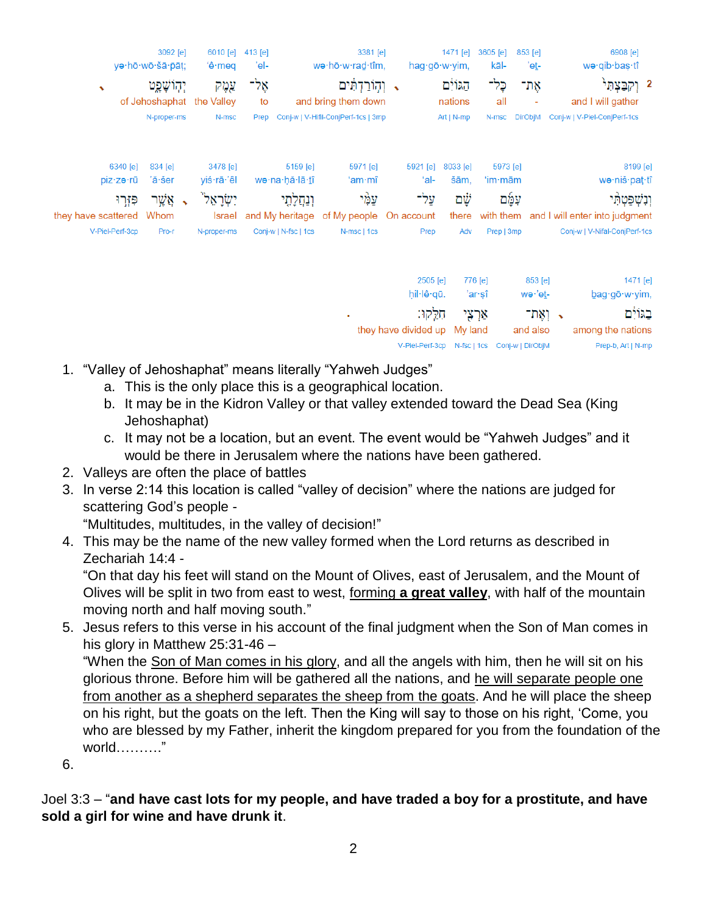| ya·hō·wō·šā·pāt;<br>we ho w rad tim,<br>kāl-<br>$\mathbf{e}\cdot$ meq<br>'el-<br>hag gō · w · yim,<br>'eṯ-<br>אָל־<br>הגוֹיִם<br>כָּל־<br>וְהְוֹרַדְתִּים<br>אַת־<br>עֲמֶק<br>יְהִוֹשָׁפֵט<br>$\rightarrow$ | wə·qib·baş·tî<br>2 וְקִבַּצְתִּי |  |
|-------------------------------------------------------------------------------------------------------------------------------------------------------------------------------------------------------------|----------------------------------|--|
|                                                                                                                                                                                                             |                                  |  |
|                                                                                                                                                                                                             |                                  |  |
| of Jehoshaphat the Valley<br>all<br>and bring them down<br>nations<br>to                                                                                                                                    | and I will gather                |  |
| Conj-w   V-Hifil-ConjPerf-1cs   3mp<br>Conj-w   V-Piel-ConjPerf-1cs<br>N-proper-ms<br>N-msc<br>Art   N-mp<br>N-msc<br><b>DirObjM</b><br>Prep                                                                |                                  |  |
| 3478 [e]<br>5159 [e]<br>5971 [e]<br>6340 [e]<br>834 [e]<br>5921 [e]<br>8033 [e]<br>5973 [e]                                                                                                                 | 8199 [e]                         |  |
| 'al-<br>'ă·šer<br>yiś·rā·'êl<br>wə·na·ḥă·lā· <u>t</u> î<br>ʻam∙mî<br>šām,<br>piz·zə·rū<br>$'$ im $\cdot$ mām                                                                                                | wə·niš·paţ·tî                    |  |
| עַמֶּי<br>αψ<br>יִשְׂרָאֵל ֿ<br>על־<br>עמַם<br>אָ א <i>ֶ</i> ער<br>ונחלתי<br>פּזֶרוּ                                                                                                                        | וִנְשָׁפַּטְהָי                  |  |
| of My people<br>Whom<br>On account<br>with them and I will enter into judgment<br>they have scattered<br>and My heritage<br>there<br>Israel                                                                 |                                  |  |
| V-Piel-Perf-3cp<br>N-proper-ms<br>Conj-w   N-fsc   1cs<br>N-msc   1cs<br>Prep   3mp<br>Pro-r<br>Prep<br>Adv                                                                                                 | Conj-w   V-Nifal-ConjPerf-1cs    |  |
| 2505 [e]<br>776 [e]<br>853 [e]                                                                                                                                                                              | 1471 [e]                         |  |
| hil·lê·qū.<br>'ar·şî<br>wə∙'e <u>t</u> -                                                                                                                                                                    | bag·gō·w·yim,                    |  |
| חָלֵקוּ:<br>אַרְצִי<br>ר וְאֶת־                                                                                                                                                                             | בגוֹיִם                          |  |
| they have divided up<br>My land<br>and also                                                                                                                                                                 | among the nations                |  |
| Conj-w   DirObjM<br>V-Piel-Perf-3cp<br>N-fsc   1cs                                                                                                                                                          | Prep-b, Art   N-mp               |  |

- 1. "Valley of Jehoshaphat" means literally "Yahweh Judges"
	- a. This is the only place this is a geographical location.
	- b. It may be in the Kidron Valley or that valley extended toward the Dead Sea (King Jehoshaphat)
	- c. It may not be a location, but an event. The event would be "Yahweh Judges" and it would be there in Jerusalem where the nations have been gathered.
- 2. Valleys are often the place of battles
- 3. In verse 2:14 this location is called "valley of decision" where the nations are judged for scattering God's people -

"Multitudes, multitudes, in the valley of decision!"

4. This may be the name of the new valley formed when the Lord returns as described in Zechariah 14:4 -

"On that day his feet will stand on the Mount of Olives, east of Jerusalem, and the Mount of Olives will be split in two from east to west, forming **a great valley**, with half of the mountain moving north and half moving south."

5. Jesus refers to this verse in his account of the final judgment when the Son of Man comes in his glory in Matthew 25:31-46 – "When the Son of Man comes in his glory, and all the angels with him, then he will sit on his glorious throne. Before him will be gathered all the nations, and he will separate people one from another as a shepherd separates the sheep from the goats. And he will place the sheep on his right, but the goats on the left. Then the King will say to those on his right, 'Come, you who are blessed by my Father, inherit the kingdom prepared for you from the foundation of the world………."

6.

Joel 3:3 – "**and have cast lots for my people, and have traded a boy for a prostitute, and have sold a girl for wine and have drunk it**.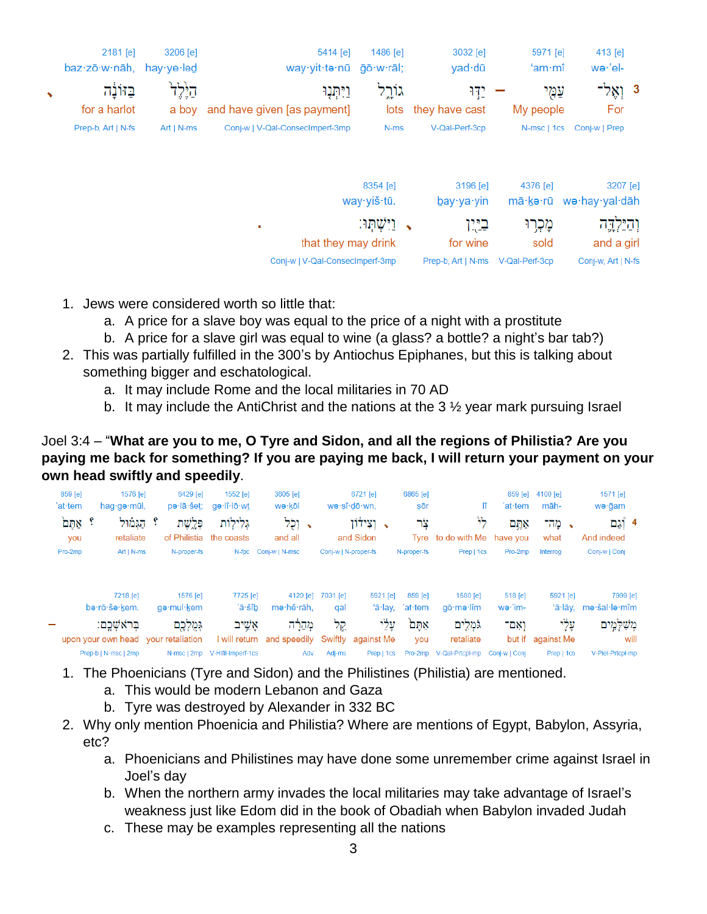|           | 2181 [e]<br>baz∙zō·w·nāh, | 3206 [e]<br>hay $ve$ led | 5414 [e]<br>way∙yit∙tə∙nū                  | 1486 $[e]$<br>āō∙w∙rāl; | 3032 [e]<br>yad dū            | 5971 [e]<br>$'$ am $\cdot$ mî | 413 [e]<br>we·'el-         |
|-----------|---------------------------|--------------------------|--------------------------------------------|-------------------------|-------------------------------|-------------------------------|----------------------------|
| $\bullet$ | בזונה<br>for a harlot     | ביֶּלְל<br>a boy         | וַיִּתְנָוּ<br>and have given [as payment] | גוֹרִל                  | ידו<br>lots they have cast    | עמי<br>My people              | - נְאֶל<br>For             |
|           | Prep-b, Art   N-fs        | $Art   N-ms$             | Conj-w   V-Qal-ConsecImperf-3mp            | N-ms                    | V-Qal-Perf-3cp                | N-msc   1cs                   | Conj-w   Prep              |
|           |                           |                          |                                            | 8354 [e]                | 3196 [e]                      | 4376 [e]                      | 3207 [e]                   |
|           |                           |                          |                                            | way·yiš·tū.             | $b$ ay·ya·yin                 | mā∙kə∙rū                      | wə·hay·yal·dāh             |
|           |                           |                          | ٠<br>that they may drink                   | וישתו:                  | בירו<br>$\bullet$<br>for wine | מָכְרִוּ<br>sold              | וְהַיַּלְדֶה<br>and a girl |
|           |                           |                          | Coni-w   V-Qal-ConsecImperf-3mp            |                         | Prep-b, Art   N-ms            | V-Qal-Perf-3cp                | Conj-w, Art   N-fs         |

- 1. Jews were considered worth so little that:
	- a. A price for a slave boy was equal to the price of a night with a prostitute
	- b. A price for a slave girl was equal to wine (a glass? a bottle? a night's bar tab?)
- 2. This was partially fulfilled in the 300's by Antiochus Epiphanes, but this is talking about something bigger and eschatological.
	- a. It may include Rome and the local militaries in 70 AD
	- b. It may include the AntiChrist and the nations at the  $3\frac{1}{2}$  year mark pursuing Israel

Joel 3:4 – "**What are you to me, O Tyre and Sidon, and all the regions of Philistia? Are you paying me back for something? If you are paying me back, I will return your payment on your own head swiftly and speedily**.

|      | 1571 [e]<br>wə∙ğam                |       | 4100 [e]<br>māh-  | $859$ [e]<br>'at·tem | lî                       | 6865 [e]<br>sōr                         | 6721 [e]<br>wə·sî·dō·wn, |                      | 3605 [e]<br>wə∙kōl         | 1552 [e]<br>_ae·lî·lō·wt  | 6429 [e]<br>pə·lā·še <u>t</u> ;     | 1576 [e]<br>hag∙gə·mūl,   | 859 [e]<br>'at·tem |
|------|-----------------------------------|-------|-------------------|----------------------|--------------------------|-----------------------------------------|--------------------------|----------------------|----------------------------|---------------------------|-------------------------------------|---------------------------|--------------------|
|      | 4 וְֿגַם<br>And indeed            |       | → מה־<br>what     | אתֱם<br>have vou     | ጓኑ<br>Tyre to do with Me | צר                                      | ַ וְצִידוֹן<br>and Sidon |                      | י וֹלְל<br>and all         | גְּלִילְוֹת<br>the coasts | פּלַשֶׁת<br>of Philistia            | הגּמוּל<br>retaliate      | ੇ ਅਰੁਖ<br>you      |
|      | Conj-w   Conj                     |       | Interrog          | Pro-2mp              | Prep   1cs               | N-proper-fs                             |                          | Conj-w   N-proper-fs | Conj-w   N-msc             | $N$ -fpc                  | N-proper-fs                         | $Art   N-ms$              | Pro-2mp            |
|      | 7999 [e]<br>'ā·lāy, me·šal·le·mîm |       | 5921 [e]          | 518 [e]<br>wə·'im-   | 1580 [e]<br>qō∙mə∙lîm    | 859 [e]<br>'a <sup>-</sup> lay, 'at-tem | 5921 [e]                 | 7031 [e]<br>qal      | 4120 [e]<br>me·hê·rāh.     | 7725 [e]<br>'ā∙šîb        | 1576 <b>[e]</b><br>qə∙mul∙kem       | 7218 [e]<br>ba·rō·ša·kem. |                    |
|      | מְשַׁלְמֶים                       | עָלְי |                   | ואִם־                | גֹּמְלִים                | אַתֵּם                                  | עָלִי                    | קל                   | מְהָרָה                    | אֹשֵיב                    | גְּמֻלְבֶם                          | בראשכם:                   |                    |
| will |                                   |       | but if against Me |                      | retaliate                | you                                     | against Me               | Swiftly              | I will return and speedily |                           | upon your own head vour retaliation |                           |                    |
|      | V-Piel-Prtcpl-mp                  |       | Prep   1cs        | Conj-w   Conj        | V-Qal-Prtcpl-mp          | Pro-2mp                                 | Prep   1cs               | Adj-ms               | Adv                        | V-Hifil-Imperf-1cs        | N-msc   2mp                         | Prep-b   N-msc   2mp      |                    |

- 1. The Phoenicians (Tyre and Sidon) and the Philistines (Philistia) are mentioned.
	- a. This would be modern Lebanon and Gaza
	- b. Tyre was destroyed by Alexander in 332 BC
- 2. Why only mention Phoenicia and Philistia? Where are mentions of Egypt, Babylon, Assyria, etc?
	- a. Phoenicians and Philistines may have done some unremember crime against Israel in Joel's day
	- b. When the northern army invades the local militaries may take advantage of Israel's weakness just like Edom did in the book of Obadiah when Babylon invaded Judah
	- c. These may be examples representing all the nations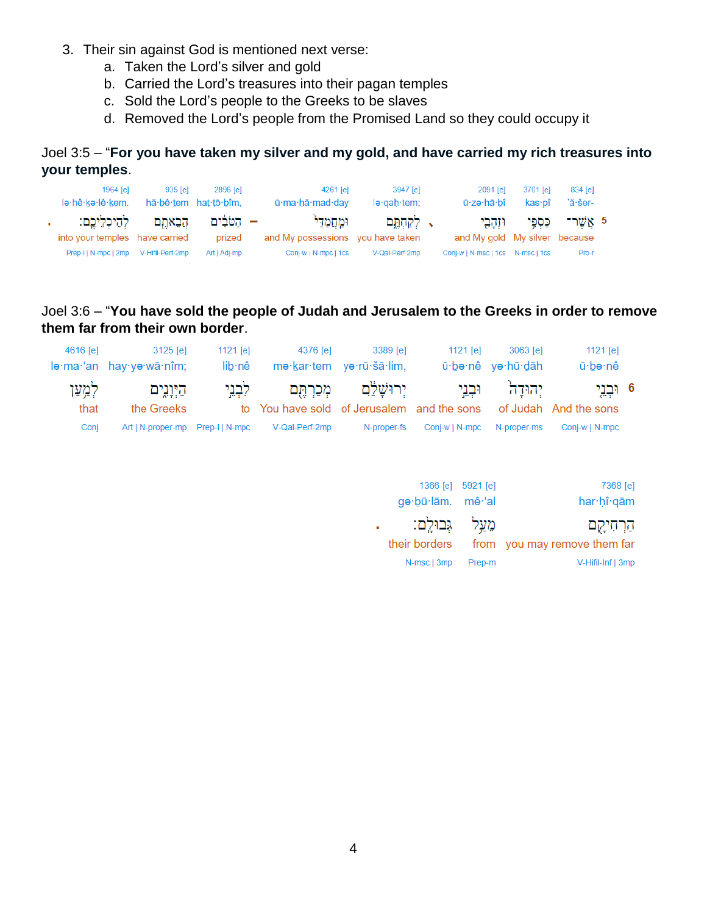- 3. Their sin against God is mentioned next verse:
	- a. Taken the Lord's silver and gold
	- b. Carried the Lord's treasures into their pagan temples
	- c. Sold the Lord's people to the Greeks to be slaves
	- d. Removed the Lord's people from the Promised Land so they could occupy it

Joel 3:5 – "**For you have taken my silver and my gold, and have carried my rich treasures into your temples**.

| 1964 [e]<br>lə∙hê∙kə∙lê∙kem.                              | 935 [e]          | 2896 [e]<br>hă bê tem hat tō bîm, | $4261$ [e]<br>ū·ma·hă·mad·day               | 3947 [e]<br>$leq$ qah tem; | 2091 [e]<br>ū∙zə∙hā∙bî              | 3701 lel<br>kas∙pî            | 834 [e]<br>'ă·šer- |  |
|-----------------------------------------------------------|------------------|-----------------------------------|---------------------------------------------|----------------------------|-------------------------------------|-------------------------------|--------------------|--|
| הֵבֵאתֵם לְהֵיכָלֵיכֵם:<br>into your temples have carried |                  | – הטֹּבִ֫ים<br>prized             | ומחמדי<br>and My possessions you have taken | $\sim$ לקחתם               | and My gold My silver because       | 5 אַשֶׁר־ כַּסְפִּי וּזְהָבְי |                    |  |
| Prep-I   N-mpc   2mp                                      | V-Hifil-Perf-2mp | Art   Adj-mp                      | Conj-w   N-mpc   1cs                        | V-Qal-Perf-2mp             | Conj-w   N-msc   1cs    N-msc   1cs |                               | Pro-r              |  |

## Joel 3:6 – "**You have sold the people of Judah and Jerusalem to the Greeks in order to remove them far from their own border**.

| 1121 $[e]$     | 3063 [e]          | 1121 [e]                   | 3389 [e]                 | 4376 [e]                                                         | 1121 $[e]$ | 3125 [e]                            | 4616 [e] |
|----------------|-------------------|----------------------------|--------------------------|------------------------------------------------------------------|------------|-------------------------------------|----------|
| ū∙bə∙nê        | ū·bə·nê yə·hū·dāh |                            | me·kar·tem ye·rū·šā·lim, |                                                                  | lib∙nê     | lə·ma·'an hay·yə·wā·nîm;            |          |
| 6 וּבְנֵי      | יהוּדַה וּבְנֵי   |                            |                          | יִרוּשָׁלֵם מִכַרְתֵּם לִבְנֵי                                   |            | היְוָנֶים                           | לִמְעַן  |
|                |                   |                            |                          | to You have sold of Jerusalem and the sons of Judah And the sons |            | the Greeks                          | that     |
| Conj-w   N-mpc |                   | Conj-w   N-mpc N-proper-ms | N-proper-fs              | V-Qal-Perf-2mp                                                   |            | Art   N-proper-mp    Prep-I   N-mpc | Conj     |

| 1366 [e] 5921 [e]<br>ge·bū·lām. mê·'al |        | 7368 [e]<br>har hî gām                     |
|----------------------------------------|--------|--------------------------------------------|
| מעל גִּבוּלִם:<br>their borders        |        | הַרְחִיקָם<br>from you may remove them far |
| N-msc   3mp                            | Prep-m | V-Hifil-Inf   3mp                          |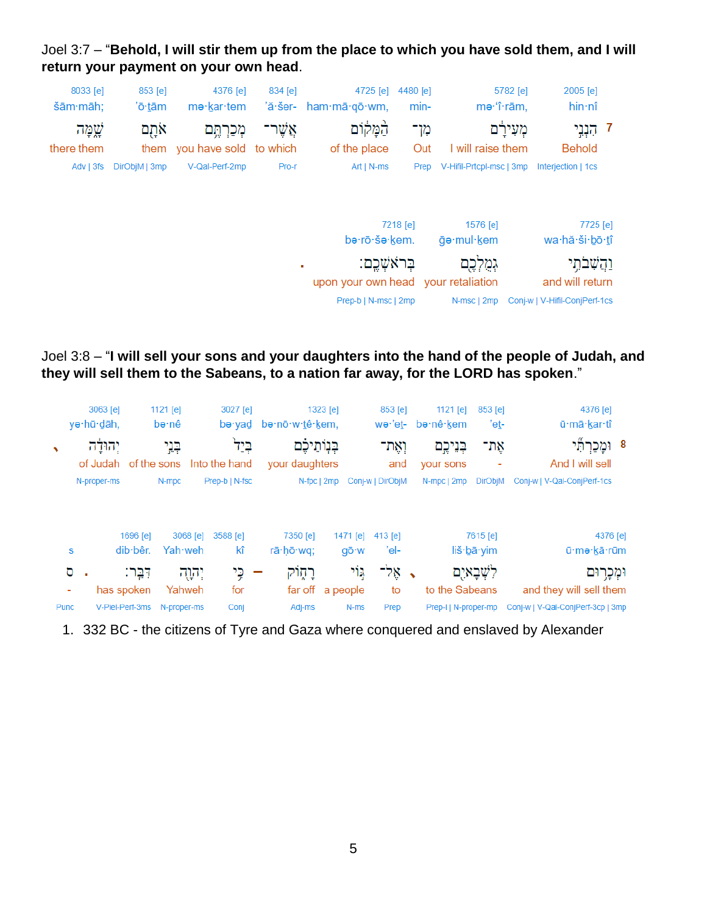Joel 3:7 – "**Behold, I will stir them up from the place to which you have sold them, and I will return your payment on your own head**.



Joel 3:8 – "**I will sell your sons and your daughters into the hand of the people of Judah, and they will sell them to the Sabeans, to a nation far away, for the LORD has spoken**."

|   | 4376 [e]<br>ū·mā·kar·tî                 | 853 [e]<br>'et- | 1121 $[e]$<br>bə∙nê∙kem |               | 853 [e]<br>wə·'et- |          | 1323 [e]<br>bə·nō·w·tê·kem.         | 3027 [e]<br>bə·vad | 1121 $[e]$<br>bə∙nê                 |                         | 3063 [e]<br>yə·hū·dāh, |            |
|---|-----------------------------------------|-----------------|-------------------------|---------------|--------------------|----------|-------------------------------------|--------------------|-------------------------------------|-------------------------|------------------------|------------|
| 8 | ֿוּמָכַרְתָ <i>י</i><br>And I will sell | אַת־            | בְנֵיכֶם<br>your sons   |               | ואַת־<br>and       |          | בִּנְוֹתֵיכֶם<br>your daughters     | בְּיַל             | בְּנֵי<br>of the sons Into the hand |                         | יהולה<br>of Judah      | $\sqrt{2}$ |
|   | Conj-w   V-Qal-ConjPerf-1cs             | <b>DirObjM</b>  | N-mpc   2mp             |               | Conj-w   DirObjM   |          | N-fpc   2mp                         | Prep-b   N-fsc     | N-mpc                               |                         | N-proper-ms            |            |
|   | 4376 [e]                                | 7615 [e]        |                         |               | 413 [e]            | 1471 [e] | 7350 [e]                            | 3588 [e]           | 3068 [e]                            | 1696 [e]                |                        |            |
|   | ū·me·kā·rūm                             | liš·bā·yim      |                         |               | 'el-               | gō·w     | rā·hō·wg:                           | kî                 | Yah weh                             | $dib \cdot b\hat{e}r$ . | S                      |            |
|   | וּמְכָרוּם                              | לשִׁבָאיִם      |                         | $\mathcal{L}$ | אֵל־               | ړ۱۲      | רֲחֶוֹק<br>$\overline{\phantom{a}}$ | כֵי                | יְהוָה                              | דִּבֵּר:                | ο<br>$\blacksquare$    |            |
|   | and they will sell them                 |                 | to the Sabeans          |               | to                 |          | far off a people                    | for                | Yahweh                              | has spoken              | ۰                      |            |
|   | Conj-w   V-Qal-ConjPerf-3cp   3mp       |                 | Prep-I   N-proper-mp    |               | Prep               | N-ms     | Adj-ms                              | Conj               | N-proper-ms                         | V-Piel-Perf-3ms         |                        | Punc       |

1. 332 BC - the citizens of Tyre and Gaza where conquered and enslaved by Alexander